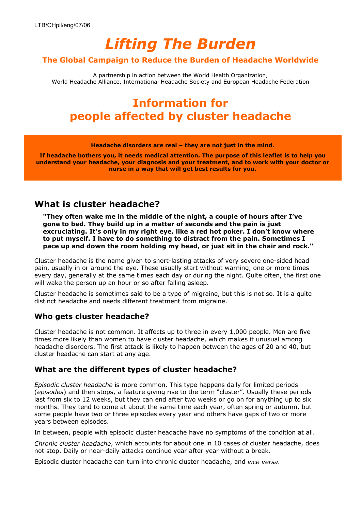# Lifting The Burden

### The Global Campaign to Reduce the Burden of Headache Worldwide

A partnership in action between the World Health Organization, World Headache Alliance, International Headache Society and European Headache Federation

# Information for people affected by cluster headache

#### Headache disorders are real – they are not just in the mind.

If headache bothers you, it needs medical attention. The purpose of this leaflet is to help you understand your headache, your diagnosis and your treatment, and to work with your doctor or nurse in a way that will get best results for you.

# What is cluster headache?

"They often wake me in the middle of the night, a couple of hours after I've gone to bed. They build up in a matter of seconds and the pain is just excruciating. It's only in my right eye, like a red hot poker. I don't know where to put myself. I have to do something to distract from the pain. Sometimes I pace up and down the room holding my head, or just sit in the chair and rock."

Cluster headache is the name given to short-lasting attacks of very severe one-sided head pain, usually in or around the eye. These usually start without warning, one or more times every day, generally at the same times each day or during the night. Quite often, the first one will wake the person up an hour or so after falling asleep.

Cluster headache is sometimes said to be a type of migraine, but this is not so. It is a quite distinct headache and needs different treatment from migraine.

#### Who gets cluster headache?

Cluster headache is not common. It affects up to three in every 1,000 people. Men are five times more likely than women to have cluster headache, which makes it unusual among headache disorders. The first attack is likely to happen between the ages of 20 and 40, but cluster headache can start at any age.

#### What are the different types of cluster headache?

Episodic cluster headache is more common. This type happens daily for limited periods (episodes) and then stops, a feature giving rise to the term "cluster". Usually these periods last from six to 12 weeks, but they can end after two weeks or go on for anything up to six months. They tend to come at about the same time each year, often spring or autumn, but some people have two or three episodes every year and others have gaps of two or more years between episodes.

In between, people with episodic cluster headache have no symptoms of the condition at all.

Chronic cluster headache, which accounts for about one in 10 cases of cluster headache, does not stop. Daily or near-daily attacks continue year after year without a break.

Episodic cluster headache can turn into chronic cluster headache, and vice versa.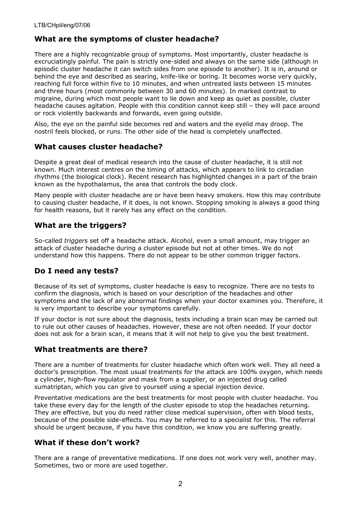### What are the symptoms of cluster headache?

There are a highly recognizable group of symptoms. Most importantly, cluster headache is excruciatingly painful. The pain is strictly one-sided and always on the same side (although in episodic cluster headache it can switch sides from one episode to another). It is in, around or behind the eye and described as searing, knife-like or boring. It becomes worse very quickly, reaching full force within five to 10 minutes, and when untreated lasts between 15 minutes and three hours (most commonly between 30 and 60 minutes). In marked contrast to migraine, during which most people want to lie down and keep as quiet as possible, cluster headache causes agitation. People with this condition cannot keep still – they will pace around or rock violently backwards and forwards, even going outside.

Also, the eye on the painful side becomes red and waters and the eyelid may droop. The nostril feels blocked, or runs. The other side of the head is completely unaffected.

#### What causes cluster headache?

Despite a great deal of medical research into the cause of cluster headache, it is still not known. Much interest centres on the timing of attacks, which appears to link to circadian rhythms (the biological clock). Recent research has highlighted changes in a part of the brain known as the hypothalamus, the area that controls the body clock.

Many people with cluster headache are or have been heavy smokers. How this may contribute to causing cluster headache, if it does, is not known. Stopping smoking is always a good thing for health reasons, but it rarely has any effect on the condition.

### What are the triggers?

So-called triggers set off a headache attack. Alcohol, even a small amount, may trigger an attack of cluster headache during a cluster episode but not at other times. We do not understand how this happens. There do not appear to be other common trigger factors.

# Do I need any tests?

Because of its set of symptoms, cluster headache is easy to recognize. There are no tests to confirm the diagnosis, which is based on your description of the headaches and other symptoms and the lack of any abnormal findings when your doctor examines you. Therefore, it is very important to describe your symptoms carefully.

If your doctor is not sure about the diagnosis, tests including a brain scan may be carried out to rule out other causes of headaches. However, these are not often needed. If your doctor does not ask for a brain scan, it means that it will not help to give you the best treatment.

#### What treatments are there?

There are a number of treatments for cluster headache which often work well. They all need a doctor's prescription. The most usual treatments for the attack are 100% oxygen, which needs a cylinder, high-flow regulator and mask from a supplier, or an injected drug called sumatriptan, which you can give to yourself using a special injection device.

Preventative medications are the best treatments for most people with cluster headache. You take these every day for the length of the cluster episode to stop the headaches returning. They are effective, but you do need rather close medical supervision, often with blood tests, because of the possible side-effects. You may be referred to a specialist for this. The referral should be urgent because, if you have this condition, we know you are suffering greatly.

#### What if these don't work?

There are a range of preventative medications. If one does not work very well, another may. Sometimes, two or more are used together.